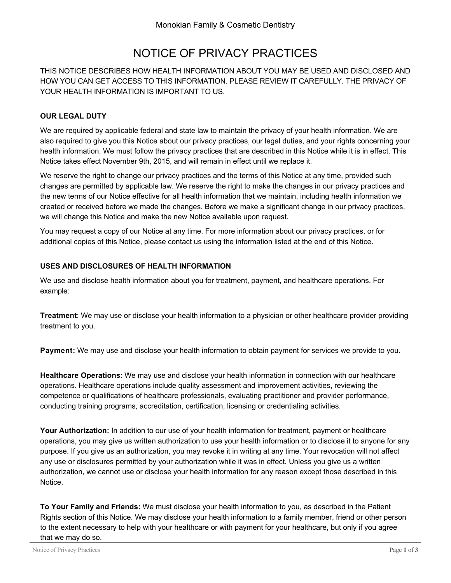# NOTICE OF PRIVACY PRACTICES

THIS NOTICE DESCRIBES HOW HEALTH INFORMATION ABOUT YOU MAY BE USED AND DISCLOSED AND HOW YOU CAN GET ACCESS TO THIS INFORMATION. PLEASE REVIEW IT CAREFULLY. THE PRIVACY OF YOUR HEALTH INFORMATION IS IMPORTANT TO US.

# **OUR LEGAL DUTY**

We are required by applicable federal and state law to maintain the privacy of your health information. We are also required to give you this Notice about our privacy practices, our legal duties, and your rights concerning your health information. We must follow the privacy practices that are described in this Notice while it is in effect. This Notice takes effect November 9th, 2015, and will remain in effect until we replace it.

We reserve the right to change our privacy practices and the terms of this Notice at any time, provided such changes are permitted by applicable law. We reserve the right to make the changes in our privacy practices and the new terms of our Notice effective for all health information that we maintain, including health information we created or received before we made the changes. Before we make a significant change in our privacy practices, we will change this Notice and make the new Notice available upon request.

You may request a copy of our Notice at any time. For more information about our privacy practices, or for additional copies of this Notice, please contact us using the information listed at the end of this Notice.

### **USES AND DISCLOSURES OF HEALTH INFORMATION**

We use and disclose health information about you for treatment, payment, and healthcare operations. For example:

**Treatment**: We may use or disclose your health information to a physician or other healthcare provider providing treatment to you.

**Payment:** We may use and disclose your health information to obtain payment for services we provide to you.

**Healthcare Operations**: We may use and disclose your health information in connection with our healthcare operations. Healthcare operations include quality assessment and improvement activities, reviewing the competence or qualifications of healthcare professionals, evaluating practitioner and provider performance, conducting training programs, accreditation, certification, licensing or credentialing activities.

**Your Authorization:** In addition to our use of your health information for treatment, payment or healthcare operations, you may give us written authorization to use your health information or to disclose it to anyone for any purpose. If you give us an authorization, you may revoke it in writing at any time. Your revocation will not affect any use or disclosures permitted by your authorization while it was in effect. Unless you give us a written authorization, we cannot use or disclose your health information for any reason except those described in this Notice.

**To Your Family and Friends:** We must disclose your health information to you, as described in the Patient Rights section of this Notice. We may disclose your health information to a family member, friend or other person to the extent necessary to help with your healthcare or with payment for your healthcare, but only if you agree that we may do so.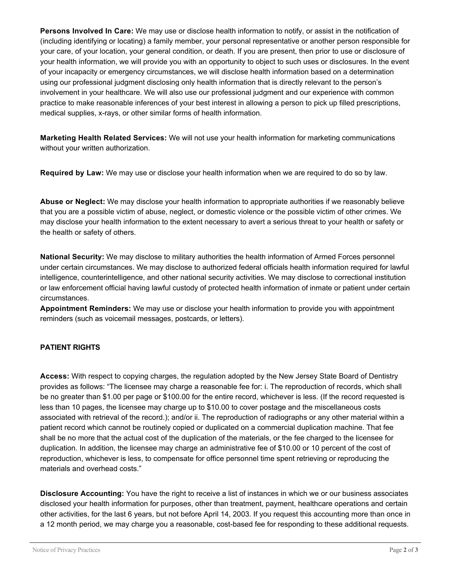**Persons Involved In Care:** We may use or disclose health information to notify, or assist in the notification of (including identifying or locating) a family member, your personal representative or another person responsible for your care, of your location, your general condition, or death. If you are present, then prior to use or disclosure of your health information, we will provide you with an opportunity to object to such uses or disclosures. In the event of your incapacity or emergency circumstances, we will disclose health information based on a determination using our professional judgment disclosing only health information that is directly relevant to the person's involvement in your healthcare. We will also use our professional judgment and our experience with common practice to make reasonable inferences of your best interest in allowing a person to pick up filled prescriptions, medical supplies, x-rays, or other similar forms of health information.

**Marketing Health Related Services:** We will not use your health information for marketing communications without your written authorization.

**Required by Law:** We may use or disclose your health information when we are required to do so by law.

**Abuse or Neglect:** We may disclose your health information to appropriate authorities if we reasonably believe that you are a possible victim of abuse, neglect, or domestic violence or the possible victim of other crimes. We may disclose your health information to the extent necessary to avert a serious threat to your health or safety or the health or safety of others.

**National Security:** We may disclose to military authorities the health information of Armed Forces personnel under certain circumstances. We may disclose to authorized federal officials health information required for lawful intelligence, counterintelligence, and other national security activities. We may disclose to correctional institution or law enforcement official having lawful custody of protected health information of inmate or patient under certain circumstances.

**Appointment Reminders:** We may use or disclose your health information to provide you with appointment reminders (such as voicemail messages, postcards, or letters).

# **PATIENT RIGHTS**

**Access:** With respect to copying charges, the regulation adopted by the New Jersey State Board of Dentistry provides as follows: "The licensee may charge a reasonable fee for: i. The reproduction of records, which shall be no greater than \$1.00 per page or \$100.00 for the entire record, whichever is less. (If the record requested is less than 10 pages, the licensee may charge up to \$10.00 to cover postage and the miscellaneous costs associated with retrieval of the record.); and/or ii. The reproduction of radiographs or any other material within a patient record which cannot be routinely copied or duplicated on a commercial duplication machine. That fee shall be no more that the actual cost of the duplication of the materials, or the fee charged to the licensee for duplication. In addition, the licensee may charge an administrative fee of \$10.00 or 10 percent of the cost of reproduction, whichever is less, to compensate for office personnel time spent retrieving or reproducing the materials and overhead costs."

**Disclosure Accounting:** You have the right to receive a list of instances in which we or our business associates disclosed your health information for purposes, other than treatment, payment, healthcare operations and certain other activities, for the last 6 years, but not before April 14, 2003. If you request this accounting more than once in a 12 month period, we may charge you a reasonable, cost-based fee for responding to these additional requests.